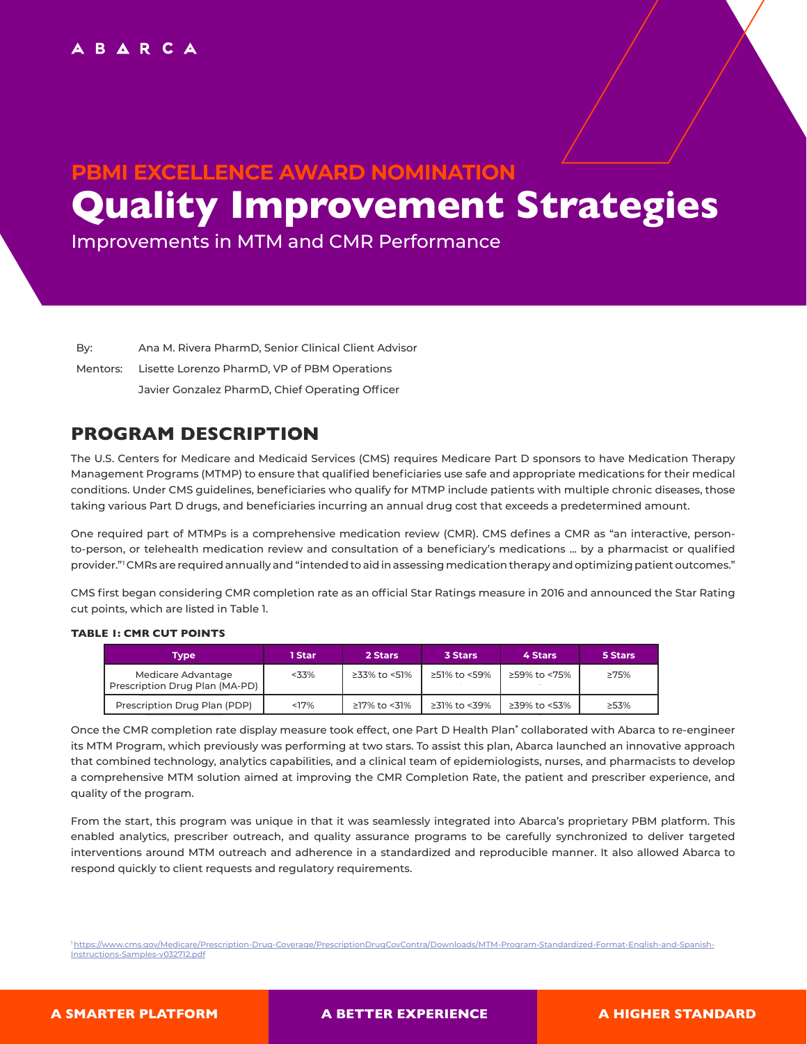# **PBMI EXCELLENCE AWARD NOMINATION Quality Improvement Strategies**

Improvements in MTM and CMR Performance

By: Ana M. Rivera PharmD, Senior Clinical Client Advisor

Mentors: Lisette Lorenzo PharmD, VP of PBM Operations

Javier Gonzalez PharmD, Chief Operating Officer

# **PROGRAM DESCRIPTION**

The U.S. Centers for Medicare and Medicaid Services (CMS) requires Medicare Part D sponsors to have Medication Therapy Management Programs (MTMP) to ensure that qualified beneficiaries use safe and appropriate medications for their medical conditions. Under CMS guidelines, beneficiaries who qualify for MTMP include patients with multiple chronic diseases, those taking various Part D drugs, and beneficiaries incurring an annual drug cost that exceeds a predetermined amount.

One required part of MTMPs is a comprehensive medication review (CMR). CMS defines a CMR as "an interactive, personto-person, or telehealth medication review and consultation of a beneficiary's medications … by a pharmacist or qualified provider."<sup>1</sup> CMRs are required annually and "intended to aid in assessing medication therapy and optimizing patient outcomes."

CMS first began considering CMR completion rate as an official Star Ratings measure in 2016 and announced the Star Rating cut points, which are listed in Table 1.

## **TABLE 1: CMR CUT POINTS**

| Tvpe                                                 | 1 Star  | 2 Stars      | 3 Stars      | 4 Stars      | 5 Stars |
|------------------------------------------------------|---------|--------------|--------------|--------------|---------|
| Medicare Advantage<br>Prescription Drug Plan (MA-PD) | $<$ 33% | ≥33% to <51% | ≥51% to <59% | ≥59% to <75% | ≥75%    |
| Prescription Drug Plan (PDP)                         | <17%    | ≥17% to <31% | ≥31% to <39% | ≥39% to <53% | >53%    |

Once the CMR completion rate display measure took effect, one Part D Health Plan\* collaborated with Abarca to re-engineer its MTM Program, which previously was performing at two stars. To assist this plan, Abarca launched an innovative approach that combined technology, analytics capabilities, and a clinical team of epidemiologists, nurses, and pharmacists to develop a comprehensive MTM solution aimed at improving the CMR Completion Rate, the patient and prescriber experience, and quality of the program.

From the start, this program was unique in that it was seamlessly integrated into Abarca's proprietary PBM platform. This enabled analytics, prescriber outreach, and quality assurance programs to be carefully synchronized to deliver targeted interventions around MTM outreach and adherence in a standardized and reproducible manner. It also allowed Abarca to respond quickly to client requests and regulatory requirements.

1 https://www.cms.gov/Medicare/Prescription-Drug-Coverage/PrescriptionDrugCovContra/Downloads/MTM-Program-Standardized-Format-English-and-Spanish-Instructions-Samples-v032712.pdf

 **A SMARTER PLATFORM A BETTER EXPERIENCE A HIGHER STANDARD**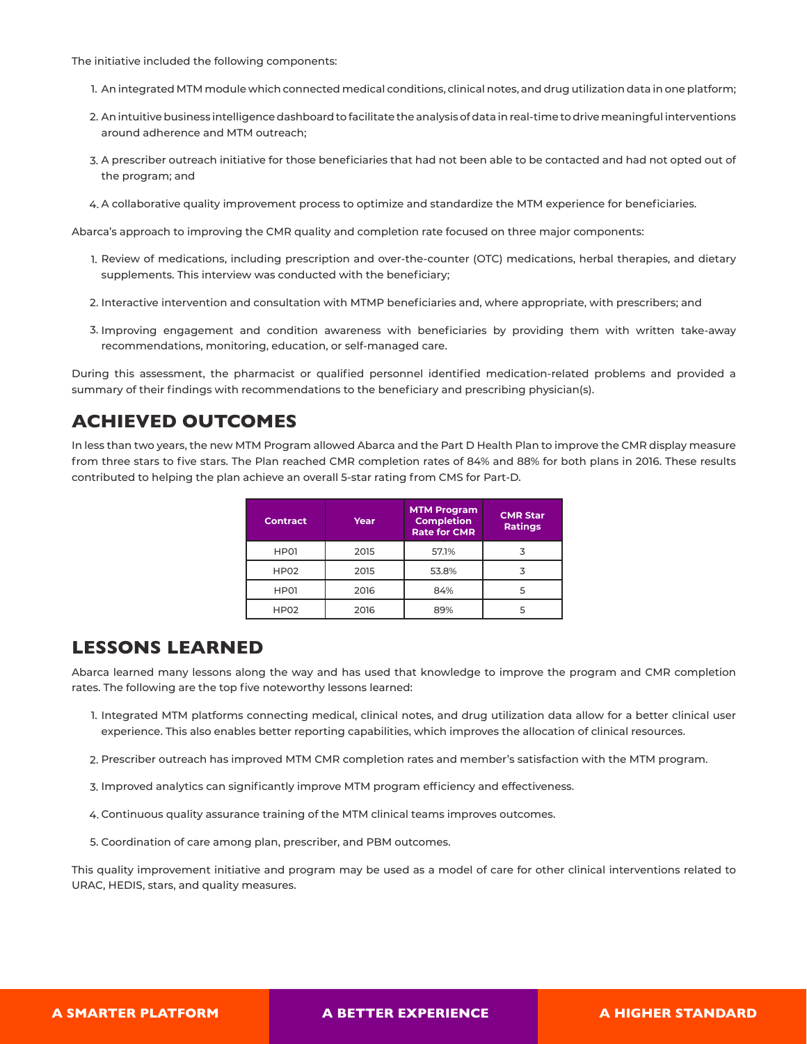The initiative included the following components:

- 1. An integrated MTM module which connected medical conditions, clinical notes, and drug utilization data in one platform;
- An intuitive business intelligence dashboard to facilitate the analysis of data in real-time to drive meaningful interventions 2. around adherence and MTM outreach;
- A prescriber outreach initiative for those beneficiaries that had not been able to be contacted and had not opted out of 3. the program; and
- A collaborative quality improvement process to optimize and standardize the MTM experience for beneficiaries. 4.

Abarca's approach to improving the CMR quality and completion rate focused on three major components:

- 1. Review of medications, including prescription and over-the-counter (OTC) medications, herbal therapies, and dietary supplements. This interview was conducted with the beneficiary;
- Interactive intervention and consultation with MTMP beneficiaries and, where appropriate, with prescribers; and 2.
- 3. Improving engagement and condition awareness with beneficiaries by providing them with written take-away recommendations, monitoring, education, or self-managed care.

During this assessment, the pharmacist or qualified personnel identified medication-related problems and provided a summary of their findings with recommendations to the beneficiary and prescribing physician(s).

## **ACHIEVED OUTCOMES**

In less than two years, the new MTM Program allowed Abarca and the Part D Health Plan to improve the CMR display measure from three stars to five stars. The Plan reached CMR completion rates of 84% and 88% for both plans in 2016. These results contributed to helping the plan achieve an overall 5-star rating from CMS for Part-D.

| <b>Contract</b>  | Year | <b>MTM Program</b><br><b>Completion</b><br><b>Rate for CMR</b> | <b>CMR Star</b><br><b>Ratings</b> |
|------------------|------|----------------------------------------------------------------|-----------------------------------|
| HP01             | 2015 | 57.1%                                                          |                                   |
| HP <sub>02</sub> | 2015 | 53.8%                                                          |                                   |
| HP01             | 2016 | 84%                                                            | 5                                 |
| HP <sub>02</sub> | 2016 | 89%                                                            |                                   |

## **LESSONS LEARNED**

Abarca learned many lessons along the way and has used that knowledge to improve the program and CMR completion rates. The following are the top five noteworthy lessons learned:

- 1. Integrated MTM platforms connecting medical, clinical notes, and drug utilization data allow for a better clinical user experience. This also enables better reporting capabilities, which improves the allocation of clinical resources.
- Prescriber outreach has improved MTM CMR completion rates and member's satisfaction with the MTM program. 2.
- 3. Improved analytics can significantly improve MTM program efficiency and effectiveness.
- Continuous quality assurance training of the MTM clinical teams improves outcomes. 4.
- 5. Coordination of care among plan, prescriber, and PBM outcomes.

This quality improvement initiative and program may be used as a model of care for other clinical interventions related to URAC, HEDIS, stars, and quality measures.